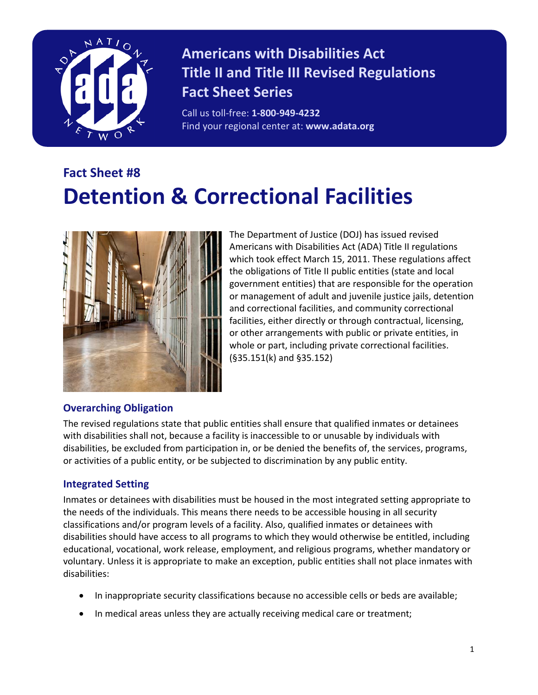

# **Americans with Disabilities Act Title II and Title III Revised Regulations Fact Sheet Series**

Call us toll-free: **1-800-949-4232** Find your regional center at: **www.adata.org**

# **Fact Sheet #8 Detention & Correctional Facilities**



The Department of Justice (DOJ) has issued revised Americans with Disabilities Act (ADA) Title II regulations which took effect March 15, 2011. These regulations affect the obligations of Title II public entities (state and local government entities) that are responsible for the operation or management of adult and juvenile justice jails, detention and correctional facilities, and community correctional facilities, either directly or through contractual, licensing, or other arrangements with public or private entities, in whole or part, including private correctional facilities. (§35.151(k) and §35.152)

## **Overarching Obligation**

The revised regulations state that public entities shall ensure that qualified inmates or detainees with disabilities shall not, because a facility is inaccessible to or unusable by individuals with disabilities, be excluded from participation in, or be denied the benefits of, the services, programs, or activities of a public entity, or be subjected to discrimination by any public entity.

#### **Integrated Setting**

Inmates or detainees with disabilities must be housed in the most integrated setting appropriate to the needs of the individuals. This means there needs to be accessible housing in all security classifications and/or program levels of a facility. Also, qualified inmates or detainees with disabilities should have access to all programs to which they would otherwise be entitled, including educational, vocational, work release, employment, and religious programs, whether mandatory or voluntary. Unless it is appropriate to make an exception, public entities shall not place inmates with disabilities:

- In inappropriate security classifications because no accessible cells or beds are available;
- In medical areas unless they are actually receiving medical care or treatment;